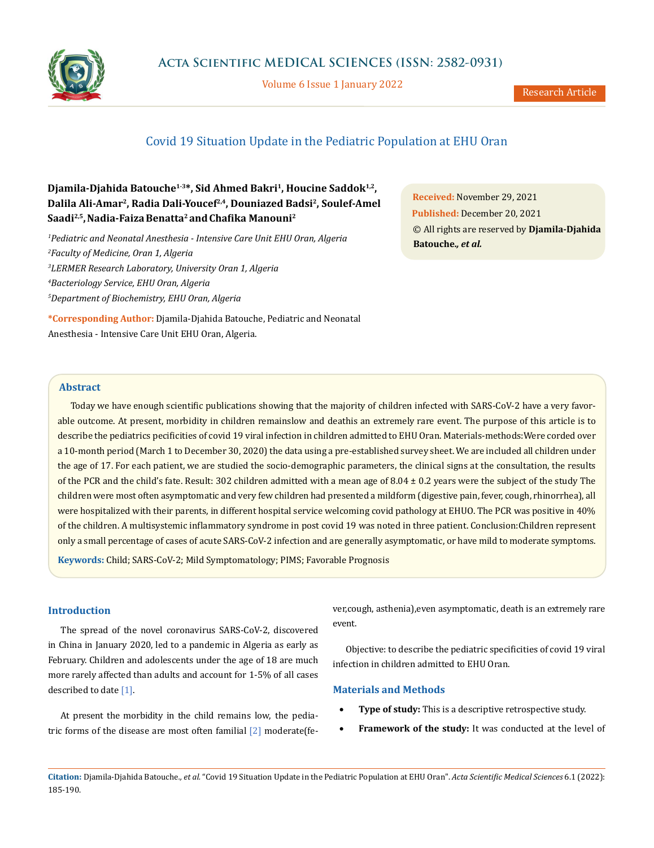

Volume 6 Issue 1 January 2022

# Covid 19 Situation Update in the Pediatric Population at EHU Oran

# Djamila-Djahida Batouche<sup>1-3\*</sup>, Sid Ahmed Bakri<sup>1</sup>, Houcine Saddok<sup>1,2</sup>, **Dalila Ali-Amar2, Radia Dali-Youcef2,4, Douniazed Badsi2, Soulef-Amel Saadi2,5,Nadia-FaizaBenatta2 andChafika Manouni<sup>2</sup>**

 *Pediatric and Neonatal Anesthesia - Intensive Care Unit EHU Oran, Algeria Faculty of Medicine, Oran 1, Algeria LERMER Research Laboratory, University Oran 1, Algeria Bacteriology Service, EHU Oran, Algeria Department of Biochemistry, EHU Oran, Algeria*

**\*Corresponding Author:** Djamila-Djahida Batouche, Pediatric and Neonatal Anesthesia - Intensive Care Unit EHU Oran, Algeria.

**Received:** November 29, 2021 **Published:** December 20, 2021 © All rights are reserved by **Djamila-Djahida Batouche.***, et al.*

# **Abstract**

Today we have enough scientific publications showing that the majority of children infected with SARS-CoV-2 have a very favorable outcome. At present, morbidity in children remainslow and deathis an extremely rare event. The purpose of this article is to describe the pediatrics pecificities of covid 19 viral infection in children admitted to EHU Oran. Materials-methods:Were corded over a 10-month period (March 1 to December 30, 2020) the data using a pre-established survey sheet. We are included all children under the age of 17. For each patient, we are studied the socio-demographic parameters, the clinical signs at the consultation, the results of the PCR and the child's fate. Result: 302 children admitted with a mean age of  $8.04 \pm 0.2$  years were the subject of the study The children were most often asymptomatic and very few children had presented a mildform (digestive pain, fever, cough, rhinorrhea), all were hospitalized with their parents, in different hospital service welcoming covid pathology at EHUO. The PCR was positive in 40% of the children. A multisystemic inflammatory syndrome in post covid 19 was noted in three patient. Conclusion:Children represent only a small percentage of cases of acute SARS-CoV-2 infection and are generally asymptomatic, or have mild to moderate symptoms.

**Keywords:** Child; SARS-CoV-2; Mild Symptomatology; PIMS; Favorable Prognosis

### **Introduction**

The spread of the novel coronavirus SARS-CoV-2, discovered in China in January 2020, led to a pandemic in Algeria as early as February. Children and adolescents under the age of 18 are much more rarely affected than adults and account for 1-5% of all cases described to date [1].

At present the morbidity in the child remains low, the pediatric forms of the disease are most often familial [2] moderat[e\(fe](https://fr.wikipedia.org/wiki/Fi%C3%A8vre)- [ver,c](https://fr.wikipedia.org/wiki/Fi%C3%A8vre)ough, [asthenia\),e](https://fr.wikipedia.org/wiki/Asth%C3%A9nie)ven [asymptomatic,](https://fr.wikipedia.org/wiki/Asymptomatique) death is an extremely rare event.

Objective: to describe the pediatric specificities of covid 19 viral infection in children admitted to EHU Oran.

# **Materials and Methods**

- **Type of study:** This is a descriptive retrospective study.
- Framework of the study: It was conducted at the level of

**Citation:** Djamila-Djahida Batouche*., et al.* "Covid 19 Situation Update in the Pediatric Population at EHU Oran". *Acta Scientific Medical Sciences* 6.1 (2022): 185-190.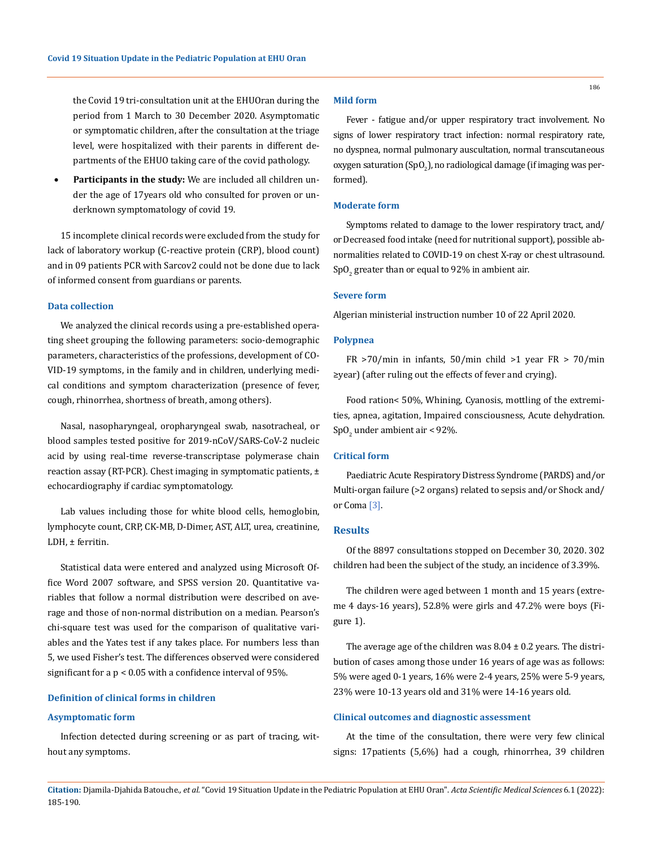the Covid 19 tri-consultation unit at the EHUOran during the period from 1 March to 30 December 2020. Asymptomatic or symptomatic children, after the consultation at the triage level, were hospitalized with their parents in different departments of the EHUO taking care of the covid pathology.

**Participants in the study:** We are included all children under the age of 17years old who consulted for proven or underknown symptomatology of covid 19.

15 incomplete clinical records were excluded from the study for lack of laboratory workup (C-reactive protein (CRP), blood count) and in 09 patients PCR with Sarcov2 could not be done due to lack of informed consent from guardians or parents.

# **Data collection**

We analyzed the clinical records using a pre-established operating sheet grouping the following parameters: socio-demographic parameters, characteristics of the professions, development of CO-VID-19 symptoms, in the family and in children, underlying medical conditions and symptom characterization (presence of fever, cough, rhinorrhea, shortness of breath, among others).

Nasal, nasopharyngeal, oropharyngeal swab, nasotracheal, or blood samples tested positive for 2019-nCoV/SARS-CoV-2 nucleic acid by using real-time reverse-transcriptase polymerase chain reaction assay (RT-PCR). Chest imaging in symptomatic patients,  $\pm$ echocardiography if cardiac symptomatology.

Lab values including those for white blood cells, hemoglobin, lymphocyte count, CRP, CK-MB, D-Dimer, AST, ALT, urea, creatinine, LDH, ± ferritin.

Statistical data were entered and analyzed using Microsoft Office Word 2007 software, and SPSS version 20. Quantitative variables that follow a normal distribution were described on average and those of non-normal distribution on a median. Pearson's chi-square test was used for the comparison of qualitative variables and the Yates test if any takes place. For numbers less than 5, we used Fisher's test. The differences observed were considered significant for a p < 0.05 with a confidence interval of 95%.

### **Definition of clinical forms in children**

#### **Asymptomatic form**

Infection detected during screening or as part of tracing, without any symptoms.

# **Mild form**

Fever - fatigue and/or upper respiratory tract involvement. No signs of lower respiratory tract infection: normal respiratory rate, no dyspnea, normal pulmonary auscultation, normal transcutaneous oxygen saturation (SpO $_2$ ), no radiological damage (if imaging was performed).

## **Moderate form**

Symptoms related to damage to the lower respiratory tract, and/ or Decreased food intake (need for nutritional support), possible abnormalities related to COVID-19 on chest X-ray or chest ultrasound.  $\mathop{\mathrm {Sp}}\nolimits\mathcal O_2$  greater than or equal to 92% in ambient air.

#### **Severe form**

Algerian ministerial instruction number 10 of 22 April 2020.

#### **Polypnea**

FR >70/min in infants, 50/min child >1 year FR > 70/min ≥year) (after ruling out the effects of fever and crying).

Food ration< 50%, Whining, Cyanosis, mottling of the extremities, apnea, agitation, Impaired consciousness, Acute dehydration.  $\text{SpO}_2$  under ambient air < 92%.

#### **Critical form**

Paediatric Acute Respiratory Distress Syndrome (PARDS) and/or Multi-organ failure (>2 organs) related to sepsis and/or Shock and/ or Coma [3].

### **Results**

Of the 8897 consultations stopped on December 30, 2020. 302 children had been the subject of the study, an incidence of 3.39%.

The children were aged between 1 month and 15 years (extreme 4 days-16 years), 52.8% were girls and 47.2% were boys (Figure 1).

The average age of the children was  $8.04 \pm 0.2$  years. The distribution of cases among those under 16 years of age was as follows: 5% were aged 0-1 years, 16% were 2-4 years, 25% were 5-9 years, 23% were 10-13 years old and 31% were 14-16 years old.

# **Clinical outcomes and diagnostic assessment**

At the time of the consultation, there were very few clinical signs: 17patients (5,6%) had a cough, rhinorrhea, 39 children

**Citation:** Djamila-Djahida Batouche*., et al.* "Covid 19 Situation Update in the Pediatric Population at EHU Oran". *Acta Scientific Medical Sciences* 6.1 (2022): 185-190.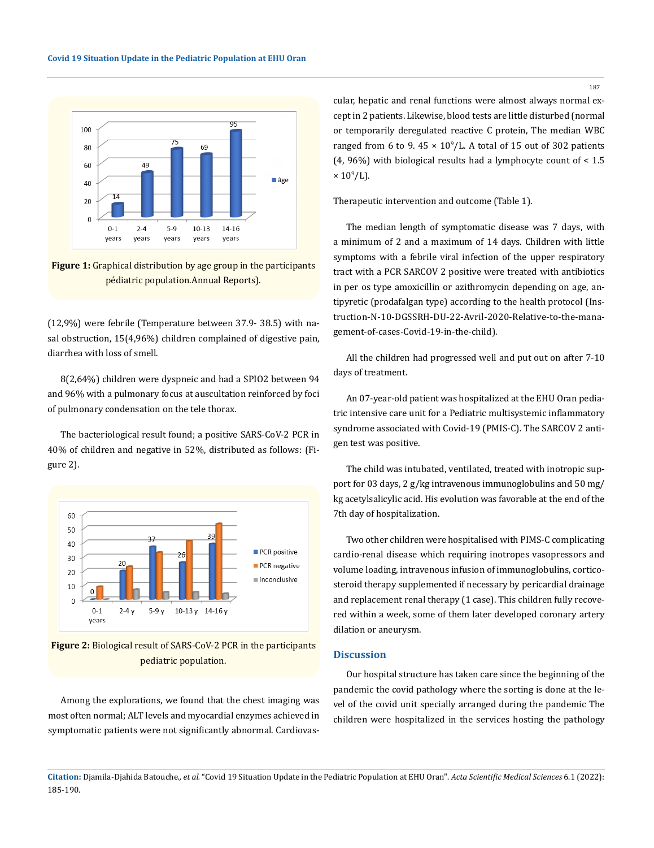

**Figure 1:** Graphical distribution by age group in the participants pédiatric population.Annual Reports).

(12,9%) were febrile (Temperature between 37.9- 38.5) with nasal obstruction, 15(4,96%) children complained of digestive pain, diarrhea with loss of smell.

8(2,64%) children were dyspneic and had a SPIO2 between 94 and 96% with a pulmonary focus at auscultation reinforced by foci of pulmonary condensation on the tele thorax.

The bacteriological result found; a positive SARS-CoV-2 PCR in 40% of children and negative in 52%, distributed as follows: (Figure 2).



**Figure 2:** Biological result of SARS-CoV-2 PCR in the participants pediatric population.

Among the explorations, we found that the chest imaging was most often normal; ALT levels and myocardial enzymes achieved in symptomatic patients were not significantly abnormal. Cardiovascular, hepatic and renal functions were almost always normal except in 2 patients. Likewise, blood tests are little disturbed (normal or temporarily deregulated reactive C protein, The median WBC ranged from 6 to 9.  $45 \times 10^9$ /L. A total of 15 out of 302 patients (4, 96%) with biological results had a lymphocyte count of < 1.5  $\times$  10<sup>9</sup>/L).

Therapeutic intervention and outcome (Table 1).

The median length of symptomatic disease was 7 days, with a minimum of 2 and a maximum of 14 days. Children with little symptoms with a febrile viral infection of the upper respiratory tract with a PCR SARCOV 2 positive were treated with antibiotics in per os type amoxicillin or azithromycin depending on age, antipyretic (prodafalgan type) according to the health protocol (Instruction-N-10-DGSSRH-DU-22-Avril-2020-Relative-to-the-management-of-cases-Covid-19-in-the-child).

All the children had progressed well and put out on after 7-10 days of treatment.

An 07-year-old patient was hospitalized at the EHU Oran pediatric intensive care unit for a Pediatric multisystemic inflammatory syndrome associated with Covid-19 (PMIS-C). The SARCOV 2 antigen test was positive.

The child was intubated, ventilated, treated with inotropic support for 03 days, 2 g/kg intravenous immunoglobulins and 50 mg/ kg acetylsalicylic acid. His evolution was favorable at the end of the 7th day of hospitalization.

Two other children were hospitalised with PIMS-C complicating cardio-renal disease which requiring inotropes vasopressors and volume loading, intravenous infusion of immunoglobulins, corticosteroid therapy supplemented if necessary by pericardial drainage and replacement renal therapy (1 case). This children fully recovered within a week, some of them later developed coronary artery dilation or aneurysm.

# **Discussion**

Our hospital structure has taken care since the beginning of the pandemic the covid pathology where the sorting is done at the level of the covid unit specially arranged during the pandemic The children were hospitalized in the services hosting the pathology

187

**Citation:** Djamila-Djahida Batouche*., et al.* "Covid 19 Situation Update in the Pediatric Population at EHU Oran". *Acta Scientific Medical Sciences* 6.1 (2022): 185-190.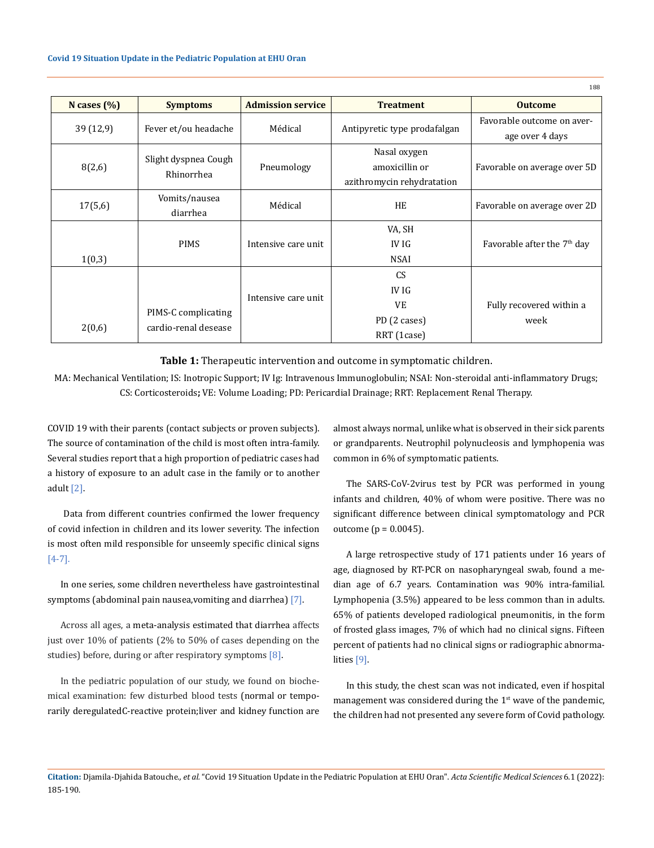| N cases $(\% )$ | <b>Symptoms</b>                             | <b>Admission service</b> | <b>Treatment</b>             | <b>Outcome</b>                          |
|-----------------|---------------------------------------------|--------------------------|------------------------------|-----------------------------------------|
| 39(12,9)        | Fever et/ou headache                        | Médical                  | Antipyretic type prodafalgan | Favorable outcome on aver-              |
|                 |                                             |                          |                              | age over 4 days                         |
|                 |                                             |                          | Nasal oxygen                 |                                         |
| 8(2,6)          | Slight dyspnea Cough<br>Rhinorrhea          | Pneumology               | amoxicillin or               | Favorable on average over 5D            |
|                 |                                             |                          | azithromycin rehydratation   |                                         |
| 17(5,6)         | Vomits/nausea                               | Médical                  | HE                           | Favorable on average over 2D            |
|                 | diarrhea                                    |                          |                              |                                         |
|                 |                                             |                          | VA, SH                       |                                         |
|                 | <b>PIMS</b>                                 | Intensive care unit      | IV IG                        | Favorable after the 7 <sup>th</sup> day |
| 1(0,3)          |                                             |                          | <b>NSAI</b>                  |                                         |
|                 |                                             | Intensive care unit      | CS.                          |                                         |
|                 | PIMS-C complicating<br>cardio-renal desease |                          | <b>IV IG</b>                 |                                         |
|                 |                                             |                          | <b>VE</b>                    | Fully recovered within a                |
| 2(0,6)          |                                             |                          | PD (2 cases)                 | week                                    |
|                 |                                             |                          | RRT (1case)                  |                                         |

**Table 1:** Therapeutic intervention and outcome in symptomatic children.

MA: Mechanical Ventilation; IS: Inotropic Support; IV Ig: Intravenous Immunoglobulin; NSAI: Non-steroidal anti-inflammatory Drugs; CS: Corticosteroids**;** VE: Volume Loading; PD: Pericardial Drainage; RRT: Replacement Renal Therapy.

COVID 19 with their parents (contact subjects or proven subjects). The source of contamination of the child is most often intra-family. Several studies report that a high proportion of pediatric cases had a history of exposure to an adult case in the family or to another adult [2].

 Data from different countries confirmed the lower frequency of covid infection in children and its lower severity. The infection is most often mild responsible for unseemly specific clinical signs [4-7].

In one series, some children nevertheless have gastrointestinal symptoms (abdominal pain [nausea,](https://fr.wikipedia.org/wiki/Naus%C3%A9e) [vomiting](https://fr.wikipedia.org/wiki/Vomissement) and [diarrhea\)](https://fr.wikipedia.org/wiki/Diarrh%C3%A9e)  $[7]$ .

Across all ages, a [meta-analysis](https://fr.wikipedia.org/wiki/M%C3%A9ta-analyse) estimated that [diarrhea](https://fr.wikipedia.org/wiki/Diarrh%C3%A9e) affects just over 10% of patients (2% to 50% of cases depending on the studies) before, during or after respiratory symptoms [8].

In the pediatric population of our study, we found on biochemical examination: few disturbed blood tests (normal or temporarily deregulate[dC-reactive protein;](https://fr.wikipedia.org/wiki/Prot%C3%A9ine_C_r%C3%A9active)[liver](https://fr.wikipedia.org/wiki/Foie) and [kidney](https://fr.wikipedia.org/wiki/Rein) function are almost always normal, unlike what is observed in their sick parents or grandparents. Neutrophil polynucleosis and lymphopenia was common in 6% of symptomatic patients.

188

Th[e SARS-CoV-2virus test](https://fr.wikipedia.org/wiki/R%C3%A9action_en_cha%C3%AEne_par_polym%C3%A9rase) by [PCR](https://fr.wikipedia.org/wiki/R%C3%A9action_en_cha%C3%AEne_par_polym%C3%A9rase) was performed in young infants and children, 40% of whom were positive. There was no significant difference between clinical symptomatology and PCR outcome (p = 0.0045).

A large retrospective study of 171 patients under 16 years of age, diagnosed by RT-PCR on nasopharyngeal swab, found a median age of 6.7 years. Contamination was 90% intra-familial. Lymphopenia (3.5%) appeared to be less common than in adults. 65% of patients developed radiological pneumonitis, in the form of frosted glass images, 7% of which had no clinical signs. Fifteen percent of patients had no clinical signs or radiographic abnormalities [9].

In this study, the chest scan was not indicated, even if hospital management was considered during the  $1<sup>st</sup>$  wave of the pandemic, the children had not presented any severe form of Covid pathology.

**Citation:** Djamila-Djahida Batouche*., et al.* "Covid 19 Situation Update in the Pediatric Population at EHU Oran". *Acta Scientific Medical Sciences* 6.1 (2022): 185-190.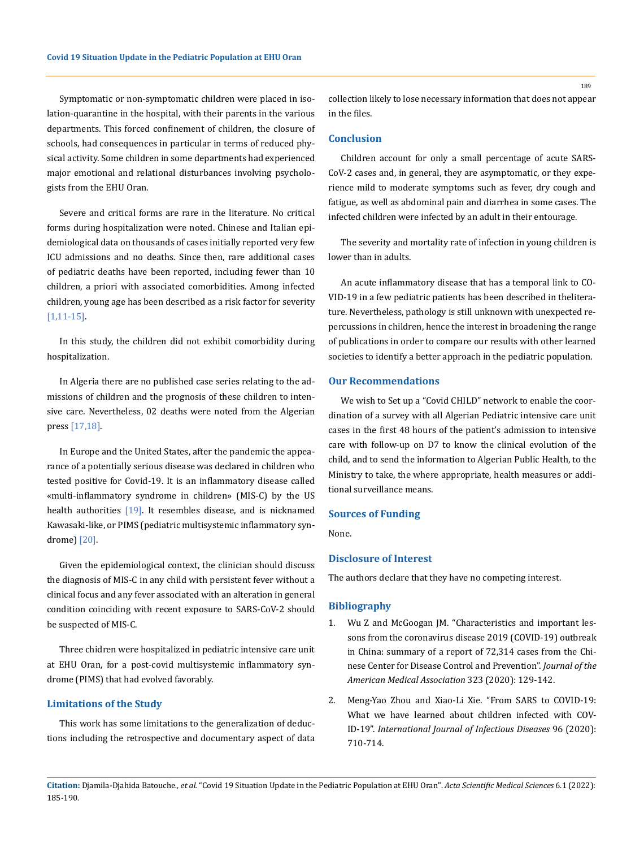Symptomatic or non-symptomatic children were placed in isolation-quarantine in the hospital, with their parents in the various departments. This forced confinement of children, the closure of schools, had consequences in particular in terms of reduced physical activity. Some children in some departments had experienced major emotional and relational disturbances involving psychologists from the EHU Oran.

Severe and critical forms are rare in the literature. No critical forms during hospitalization were noted. Chinese and Italian epidemiological data on thousands of cases initially reported very few ICU admissions and no deaths. Since then, rare additional cases of pediatric deaths have been reported, including fewer than 10 children, a priori with associated comorbidities. Among infected children, young age has been described as a risk factor for severity [1,11-15].

In this study, the children did not exhibit comorbidity during hospitalization.

In Algeria there are no published case series relating to the admissions of children and the prognosis of these children to intensive care. Nevertheless, 02 deaths were noted from the Algerian press [17,18].

In Europe and the United States, after the pandemic the appearance of a potentially serious disease was declared in children who tested positive for Covid-19. It is an inflammatory disease called «multi-inflammatory syndrome in children» (MIS-C) by the US health authorities [19]. It resembles disease, and is nicknamed Kawasaki-like, or PIMS (pediatric multisystemic inflammatory syndrome) [20].

Given the epidemiological context, the clinician should discuss the diagnosis of MIS-C in any child with persistent fever without a clinical focus and any fever associated with an alteration in general condition coinciding with recent exposure to SARS-CoV-2 should be suspected of MIS-C.

Three chidren were hospitalized in pediatric intensive care unit at EHU Oran, for a post-covid multisystemic inflammatory syndrome (PIMS) that had evolved favorably.

# **Limitations of the Study**

This work has some limitations to the generalization of deductions including the retrospective and documentary aspect of data collection likely to lose necessary information that does not appear in the files.

#### **Conclusion**

Children account for only a small percentage of acute SARS-CoV-2 cases and, in general, they are asymptomatic, or they experience mild to moderate symptoms such as fever, dry cough and fatigue, as well as abdominal pain and diarrhea in some cases. The infected children were infected by an adult in their entourage.

The severity and mortality rate of infection in young children is lower than in adults.

An acute inflammatory disease that has a temporal link to CO-VID-19 in a few pediatric patients has been described in theliterature. Nevertheless, pathology is still unknown with unexpected repercussions in children, hence the interest in broadening the range of publications in order to compare our results with other learned societies to identify a better approach in the pediatric population.

# **Our Recommendations**

We wish to Set up a "Covid CHILD" network to enable the coordination of a survey with all Algerian Pediatric intensive care unit cases in the first 48 hours of the patient's admission to intensive care with follow-up on D7 to know the clinical evolution of the child, and to send the information to Algerian Public Health, to the Ministry to take, the where appropriate, health measures or additional surveillance means.

# **Sources of Funding**

None.

## **Disclosure of Interest**

The authors declare that they have no competing interest.

### **Bibliography**

- 1. [Wu Z and McGoogan JM. "Characteristics and important les](https://pubmed.ncbi.nlm.nih.gov/32091533/)[sons from the coronavirus disease 2019 \(COVID-19\) outbreak](https://pubmed.ncbi.nlm.nih.gov/32091533/)  [in China: summary of a report of 72,314 cases from the Chi](https://pubmed.ncbi.nlm.nih.gov/32091533/)[nese Center for Disease Control and Prevention".](https://pubmed.ncbi.nlm.nih.gov/32091533/) *Journal of the [American Medical Association](https://pubmed.ncbi.nlm.nih.gov/32091533/)* 323 (2020): 129-142.
- 2. [Meng-Yao Zhou and Xiao-Li Xie. "From SARS to COVID-19:](https://pubmed.ncbi.nlm.nih.gov/32389849/) [What we have learned about children infected with COV](https://pubmed.ncbi.nlm.nih.gov/32389849/)-ID-19". *[International Journal of Infectious Diseases](https://pubmed.ncbi.nlm.nih.gov/32389849/)* 96 (2020): [710-714.](https://pubmed.ncbi.nlm.nih.gov/32389849/)

189

**Citation:** Djamila-Djahida Batouche*., et al.* "Covid 19 Situation Update in the Pediatric Population at EHU Oran". *Acta Scientific Medical Sciences* 6.1 (2022): 185-190.